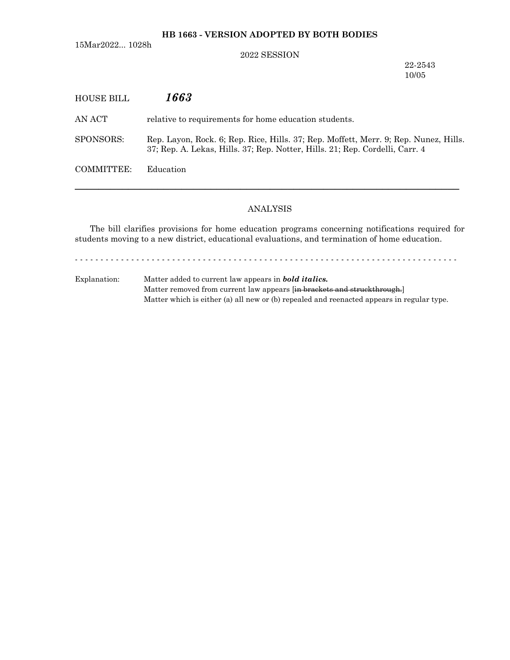# **HB 1663 - VERSION ADOPTED BY BOTH BODIES**

15Mar2022... 1028h

## 2022 SESSION

22-2543 10/05

| HOUSE BILL | 1663                                                                                                                                                                 |
|------------|----------------------------------------------------------------------------------------------------------------------------------------------------------------------|
| AN ACT-    | relative to requirements for home education students.                                                                                                                |
| SPONSORS:  | Rep. Layon, Rock. 6; Rep. Rice, Hills. 37; Rep. Moffett, Merr. 9; Rep. Nunez, Hills.<br>37; Rep. A. Lekas, Hills. 37; Rep. Notter, Hills. 21; Rep. Cordelli, Carr. 4 |
| COMMITTEE: | Education                                                                                                                                                            |
|            |                                                                                                                                                                      |

# ANALYSIS

─────────────────────────────────────────────────────────────────

The bill clarifies provisions for home education programs concerning notifications required for students moving to a new district, educational evaluations, and termination of home education.

- - - - - - - - - - - - - - - - - - - - - - - - - - - - - - - - - - - - - - - - - - - - - - - - - - - - - - - - - - - - - - - - - - - - - - - - - - -

Explanation: Matter added to current law appears in *bold italics.* Matter removed from current law appears [in brackets and struckthrough.] Matter which is either (a) all new or (b) repealed and reenacted appears in regular type.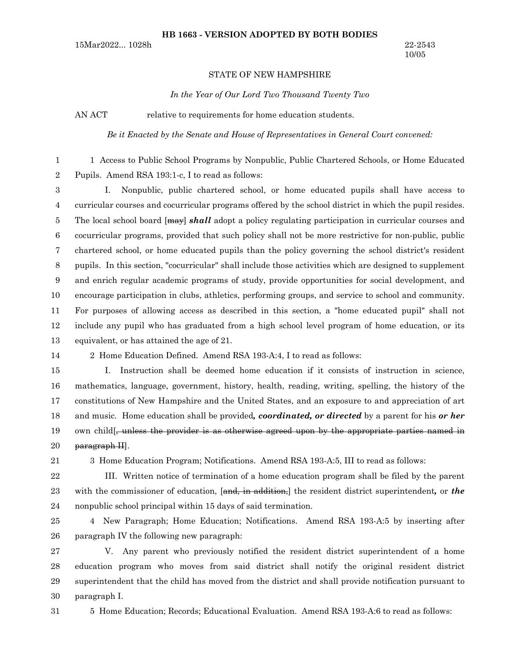#### **HB 1663 - VERSION ADOPTED BY BOTH BODIES**

15Mar2022... 1028h 22-2543

### STATE OF NEW HAMPSHIRE

*In the Year of Our Lord Two Thousand Twenty Two*

AN ACT relative to requirements for home education students.

*Be it Enacted by the Senate and House of Representatives in General Court convened:*

1 Access to Public School Programs by Nonpublic, Public Chartered Schools, or Home Educated Pupils. Amend RSA 193:1-c, I to read as follows: 1 2

I. Nonpublic, public chartered school, or home educated pupils shall have access to curricular courses and cocurricular programs offered by the school district in which the pupil resides. The local school board [may] *shall* adopt a policy regulating participation in curricular courses and cocurricular programs, provided that such policy shall not be more restrictive for non-public, public chartered school, or home educated pupils than the policy governing the school district's resident pupils. In this section, "cocurricular" shall include those activities which are designed to supplement and enrich regular academic programs of study, provide opportunities for social development, and encourage participation in clubs, athletics, performing groups, and service to school and community. For purposes of allowing access as described in this section, a "home educated pupil" shall not include any pupil who has graduated from a high school level program of home education, or its equivalent, or has attained the age of 21. 3 4 5 6 7 8 9 10 11 12 13

14

2 Home Education Defined. Amend RSA 193-A:4, I to read as follows:

I. Instruction shall be deemed home education if it consists of instruction in science, mathematics, language, government, history, health, reading, writing, spelling, the history of the constitutions of New Hampshire and the United States, and an exposure to and appreciation of art and music. Home education shall be provided*, coordinated, or directed* by a parent for his *or her* own child[, unless the provider is as otherwise agreed upon by the appropriate parties named in paragraph II]. 15 16 17 18 19 20

21

3 Home Education Program; Notifications. Amend RSA 193-A:5, III to read as follows:

III. Written notice of termination of a home education program shall be filed by the parent with the commissioner of education, [and, in addition,] the resident district superintendent, or *the* nonpublic school principal within 15 days of said termination. 22 23 24

4 New Paragraph; Home Education; Notifications. Amend RSA 193-A:5 by inserting after paragraph IV the following new paragraph: 25 26

V. Any parent who previously notified the resident district superintendent of a home education program who moves from said district shall notify the original resident district superintendent that the child has moved from the district and shall provide notification pursuant to paragraph I. 27 28 29 30

31

5 Home Education; Records; Educational Evaluation. Amend RSA 193-A:6 to read as follows: